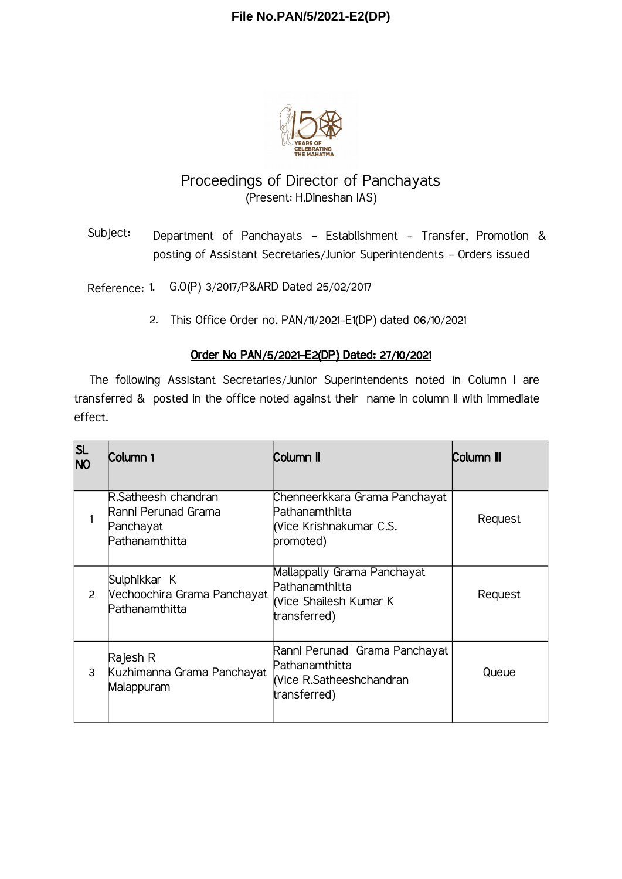## **File No.PAN/5/2021-E2(DP)**



## Proceedings of Director of Panchayats (Present: H.Dineshan IAS)

Subject: Department of Panchayats - Establishment - Transfer, Promotion & posting of Assistant Secretaries/Junior Superintendents - Orders issued

Reference: 1. G.O(P) 3/2017/P&ARD Dated 25/02/2017

2. This Office Order no. PAN/11/2021-E1(DP) dated 06/10/2021

## Order No PAN/5/2021-E2(DP) Dated: 27/10/2021

The following Assistant Secretaries/Junior Superintendents noted in Column I are transferred & posted in the office noted against their name in column II with immediate effect.

| <b>SL</b><br><b>NO</b> | Column 1                                                                  | Column II                                                                                  | Column III |
|------------------------|---------------------------------------------------------------------------|--------------------------------------------------------------------------------------------|------------|
|                        | R.Satheesh chandran<br>Ranni Perunad Grama<br>Panchayat<br>Pathanamthitta | Chenneerkkara Grama Panchayat<br>Pathanamthitta<br>(Vice Krishnakumar C.S.<br>promoted)    | Request    |
| $\mathcal{P}$          | Sulphikkar K<br>Vechoochira Grama Panchayat<br>Pathanamthitta             | Mallappally Grama Panchayat<br>Pathanamthitta<br>(Vice Shailesh Kumar K<br>transferred)    | Request    |
| 3                      | Rajesh R<br>Kuzhimanna Grama Panchayat<br>Malappuram                      | Ranni Perunad Grama Panchayat<br>Pathanamthitta<br>Vice R.Satheeshchandran<br>transferred) | Queue      |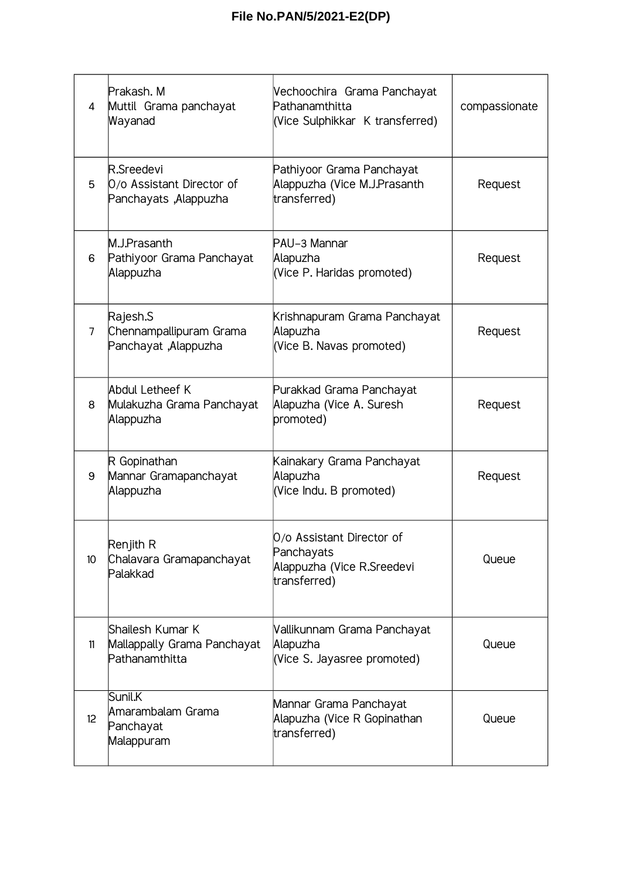| 4               | Prakash. M<br>Muttil Grama panchayat<br>Wayanad                   | Vechoochira Grama Panchayat<br>Pathanamthitta<br>(Vice Sulphikkar K transferred)      | compassionate |
|-----------------|-------------------------------------------------------------------|---------------------------------------------------------------------------------------|---------------|
| 5               | R.Sreedevi<br>0/o Assistant Director of<br>Panchayats ,Alappuzha  | Pathiyoor Grama Panchayat<br>Alappuzha (Vice M.J.Prasanth<br>transferred)             | Request       |
| 6               | M.J.Prasanth<br>Pathiyoor Grama Panchayat<br>Alappuzha            | PAU-3 Mannar<br>Alapuzha<br>(Vice P. Haridas promoted)                                | Request       |
| 7               | Rajesh.S<br>Chennampallipuram Grama<br>Panchayat ,Alappuzha       | Krishnapuram Grama Panchayat<br>Alapuzha<br>(Vice B. Navas promoted)                  | Request       |
| 8               | Abdul Letheef K<br>Mulakuzha Grama Panchayat<br>Alappuzha         | Purakkad Grama Panchayat<br>Alapuzha (Vice A. Suresh<br>promoted)                     | Request       |
| 9               | R Gopinathan<br>Mannar Gramapanchayat<br>Alappuzha                | Kainakary Grama Panchayat<br>Alapuzha<br>(Vice Indu. B promoted)                      | Request       |
| 10 <sup>°</sup> | Renjith R<br>Chalavara Gramapanchayat<br>Palakkad                 | 0/o Assistant Director of<br>Panchayats<br>Alappuzha (Vice R.Sreedevi<br>transferred) | Queue         |
| 11              | Shailesh Kumar K<br>Mallappally Grama Panchayat<br>Pathanamthitta | Vallikunnam Grama Panchayat<br>Alapuzha<br>(Vice S. Jayasree promoted)                | Queue         |
| 12              | Sunil.K<br>Amarambalam Grama<br>Panchayat<br>Malappuram           | Mannar Grama Panchayat<br>Alapuzha (Vice R Gopinathan<br>transferred)                 | Queue         |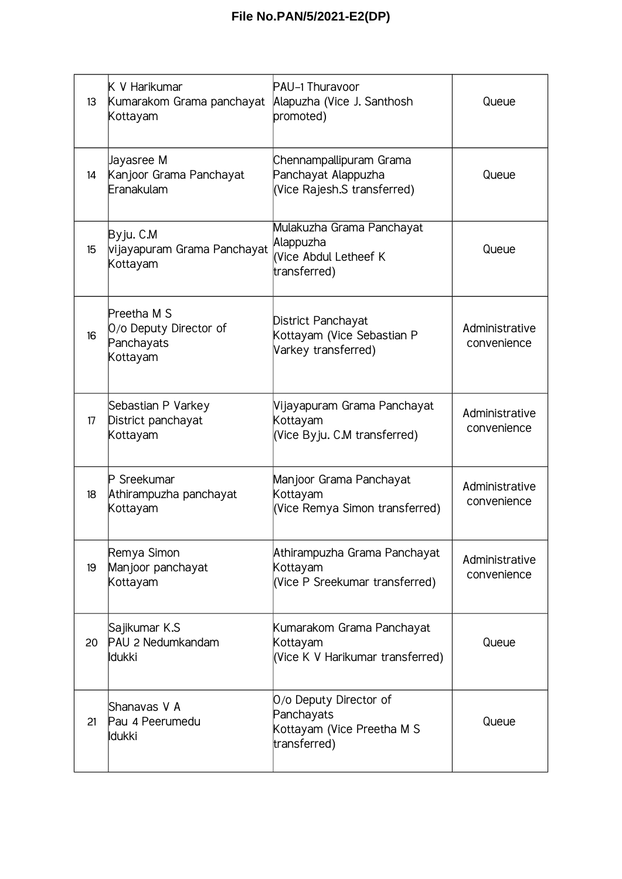| 13              | K V Harikumar<br>Kumarakom Grama panchayat<br>Kottayam          | PAU-1 Thuravoor<br>Alapuzha (Vice J. Santhosh<br>promoted)                         |                               |
|-----------------|-----------------------------------------------------------------|------------------------------------------------------------------------------------|-------------------------------|
| 14              | Jayasree M<br>Kanjoor Grama Panchayat<br>Eranakulam             | Chennampallipuram Grama<br>Panchayat Alappuzha<br>(Vice Rajesh.S transferred)      | Queue                         |
| 15 <sup>5</sup> | Byju. C.M<br>vijayapuram Grama Panchayat<br>Kottayam            | Mulakuzha Grama Panchayat<br>Alappuzha<br>(Vice Abdul Letheef K<br>transferred)    | Queue                         |
| 16              | Preetha M S<br>O/o Deputy Director of<br>Panchayats<br>Kottayam | District Panchayat<br>Kottayam (Vice Sebastian P<br>Varkey transferred)            | Administrative<br>convenience |
| 17              | Sebastian P Varkey<br>District panchayat<br>Kottayam            | Vijayapuram Grama Panchayat<br>Kottayam<br>(Vice Byju. C.M transferred)            | Administrative<br>convenience |
| 18              | P Sreekumar<br>Athirampuzha panchayat<br>Kottayam               | Manjoor Grama Panchayat<br>Kottayam<br>(Vice Remya Simon transferred)              | Administrative<br>convenience |
| 19              | Remya Simon<br>Manjoor panchayat<br>Kottayam                    | Athirampuzha Grama Panchayat<br>Kottayam<br>(Vice P Sreekumar transferred)         | Administrative<br>convenience |
| 20              | Sajikumar K.S<br>PAU 2 Nedumkandam<br>ldukki                    | Kumarakom Grama Panchayat<br>Kottayam<br>(Vice K V Harikumar transferred)          | Queue                         |
| 21              | Shanavas V A<br>Pau 4 Peerumedu<br><b>Idukki</b>                | O/o Deputy Director of<br>Panchayats<br>Kottayam (Vice Preetha M S<br>transferred) | Queue                         |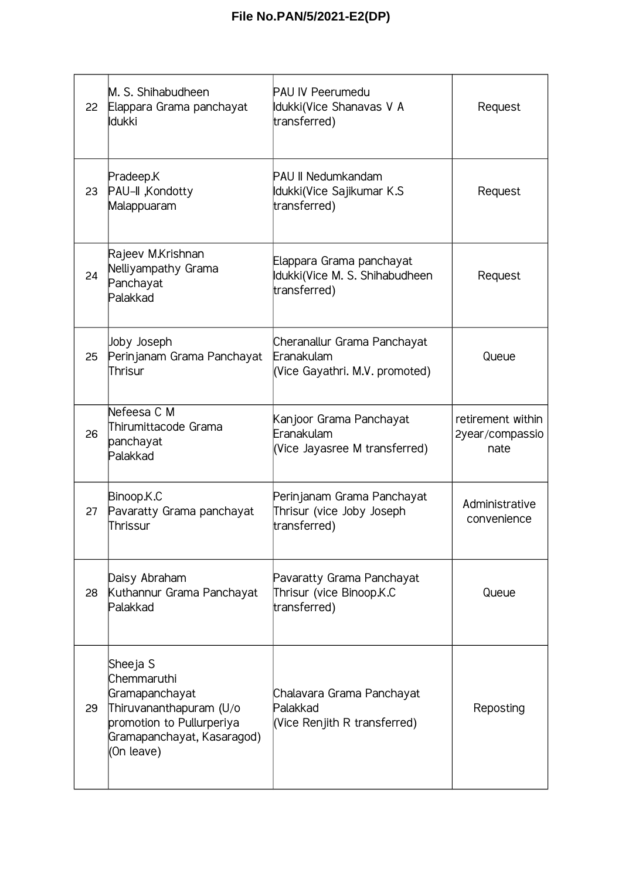| 22 | M. S. Shihabudheen<br>Elappara Grama panchayat<br>ldukki                                                                                      | <b>PAU IV Peerumedu</b><br>Idukki(Vice Shanavas V A<br>transferred)         | Request                                      |
|----|-----------------------------------------------------------------------------------------------------------------------------------------------|-----------------------------------------------------------------------------|----------------------------------------------|
| 23 | Pradeep.K<br>PAU-II , Kondotty<br>Malappuaram                                                                                                 | <b>PAU II Nedumkandam</b><br>Idukki(Vice Sajikumar K.S<br>transferred)      | Request                                      |
| 24 | Rajeev M.Krishnan<br>Nelliyampathy Grama<br>Panchayat<br>Palakkad                                                                             | Elappara Grama panchayat<br>Idukki(Vice M. S. Shihabudheen<br>transferred)  | Request                                      |
| 25 | Joby Joseph<br>Perinjanam Grama Panchayat<br>Thrisur                                                                                          | Cheranallur Grama Panchayat<br>Eranakulam<br>(Vice Gayathri. M.V. promoted) | Queue                                        |
| 26 | Nefeesa C M<br>Thirumittacode Grama<br>panchayat<br>Palakkad                                                                                  | Kanjoor Grama Panchayat<br>Eranakulam<br>(Vice Jayasree M transferred)      | retirement within<br>2year/compassio<br>nate |
| 27 | Binoop.K.C<br>Pavaratty Grama panchayat<br>Thrissur                                                                                           | Perinjanam Grama Panchayat<br>Thrisur (vice Joby Joseph<br>transferred)     | Administrative<br>convenience                |
| 28 | Daisy Abraham<br>Kuthannur Grama Panchayat<br>Palakkad                                                                                        | Pavaratty Grama Panchayat<br>Thrisur (vice Binoop.K.C<br>transferred)       | Queue                                        |
| 29 | Sheeja S<br>Chemmaruthi<br>Gramapanchayat<br>Thiruvananthapuram (U/o<br>promotion to Pullurperiya<br>Gramapanchayat, Kasaragod)<br>(On leave) | Chalavara Grama Panchayat<br>Palakkad<br>(Vice Renjith R transferred)       | Reposting                                    |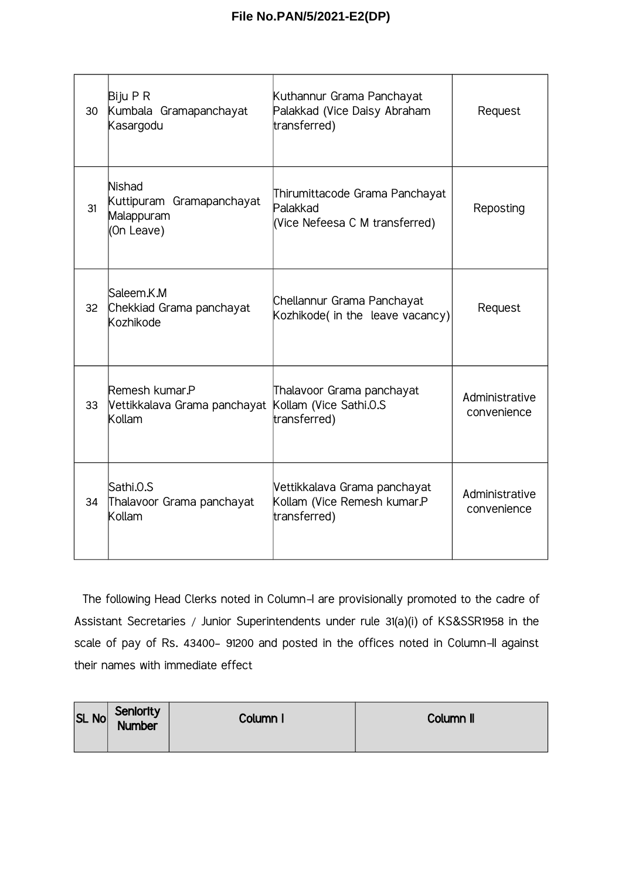| 30              | Biju P R<br>Kumbala Gramapanchayat<br>Kasargodu                        | Kuthannur Grama Panchayat<br>Palakkad (Vice Daisy Abraham<br>transferred)    | Request                       |
|-----------------|------------------------------------------------------------------------|------------------------------------------------------------------------------|-------------------------------|
| 31              | <b>Nishad</b><br>Kuttipuram Gramapanchayat<br>Malappuram<br>(On Leave) | Thirumittacode Grama Panchayat<br>Palakkad<br>(Vice Nefeesa C M transferred) | Reposting                     |
| 32 <sup>2</sup> | Saleem.K.M<br>Chekkiad Grama panchayat<br>Kozhikode                    | Chellannur Grama Panchayat<br>Kozhikode( in the leave vacancy)               | Request                       |
| 33              | Remesh kumar.P<br>Vettikkalava Grama panchayat<br>Kollam               | Thalavoor Grama panchayat<br>Kollam (Vice Sathi.0.S<br>transferred)          | Administrative<br>convenience |
| 34              | Sathi.0.S<br>Thalavoor Grama panchayat<br>Kollam                       | Vettikkalava Grama panchayat<br>Kollam (Vice Remesh kumar.P<br>transferred)  | Administrative<br>convenience |

The following Head Clerks noted in Column-I are provisionally promoted to the cadre of Assistant Secretaries / Junior Superintendents under rule 31(a)(i) of KS&SSR1958 in the scale of pay of Rs. 43400– 91200 and posted in the offices noted in Column-II against their names with immediate effect

| SL No | Seniority<br>Number | Column I | Column II |
|-------|---------------------|----------|-----------|
|       |                     |          |           |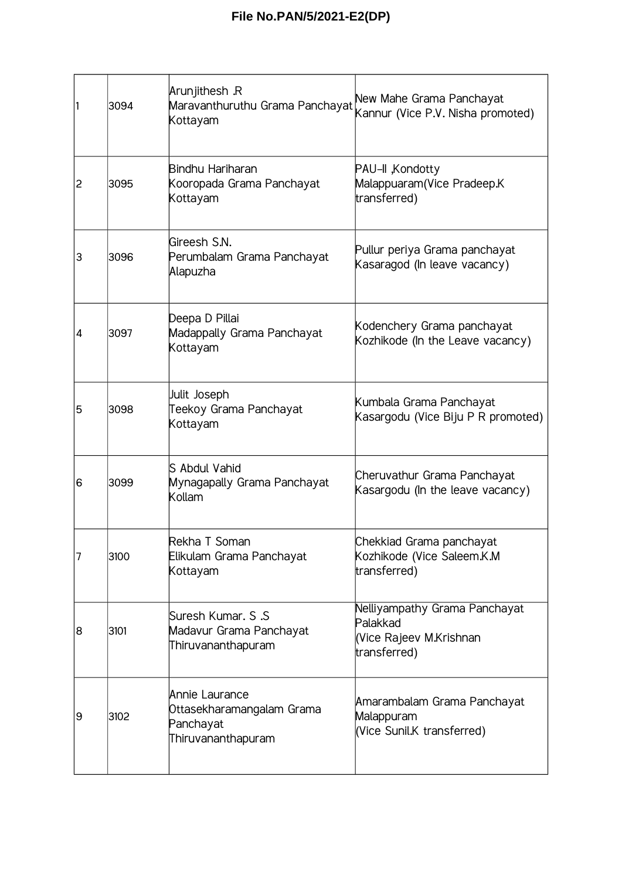| 1              | 3094 | Arunjithesh .R<br>Maravanthuruthu Grama Panchayat<br>Kottayam                  | New Mahe Grama Panchayat<br>Kannur (Vice P.V. Nisha promoted)                        |
|----------------|------|--------------------------------------------------------------------------------|--------------------------------------------------------------------------------------|
| $\overline{c}$ | 3095 | Bindhu Hariharan<br>Kooropada Grama Panchayat<br>Kottayam                      | PAU-II , Kondotty<br>Malappuaram (Vice Pradeep.K<br>transferred)                     |
| 3              | 3096 | Gireesh S.N.<br>Perumbalam Grama Panchayat<br>Alapuzha                         | Pullur periya Grama panchayat<br>Kasaragod (In leave vacancy)                        |
| 4              | 3097 | Deepa D Pillai<br>Madappally Grama Panchayat<br>Kottayam                       | Kodenchery Grama panchayat<br>Kozhikode (In the Leave vacancy)                       |
| 5              | 3098 | Julit Joseph<br>Teekoy Grama Panchayat<br>Kottayam                             | Kumbala Grama Panchayat<br>Kasargodu (Vice Biju P R promoted)                        |
| 6              | 3099 | S Abdul Vahid<br>Mynagapally Grama Panchayat<br>Kollam                         | Cheruvathur Grama Panchayat<br>Kasargodu (In the leave vacancy)                      |
| $\overline{7}$ | 3100 | Rekha T Soman<br>Elikulam Grama Panchayat<br>Kottayam                          | Chekkiad Grama panchayat<br>Kozhikode (Vice Saleem.K.M<br>transferred)               |
| 8              | 3101 | Suresh Kumar. S .S<br>Madavur Grama Panchayat<br>Thiruvananthapuram            | Nelliyampathy Grama Panchayat<br>Palakkad<br>Vice Rajeev M.Krishnan)<br>transferred) |
| 9              | 3102 | Annie Laurance<br>Ottasekharamangalam Grama<br>Panchayat<br>Thiruvananthapuram | Amarambalam Grama Panchayat<br>Malappuram<br>(Vice Sunil.K transferred)              |